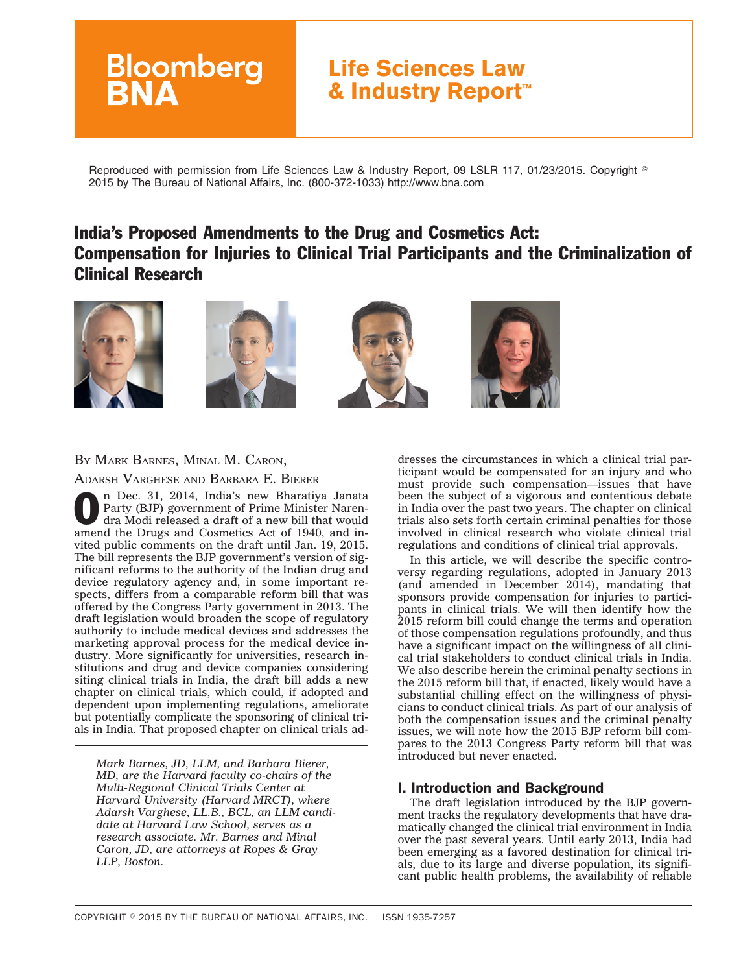# **Life Sciences Law & Industry Report™**

Reproduced with permission from Life Sciences Law & Industry Report, 09 LSLR 117, 01/23/2015. Copyright  $^\circ$ 2015 by The Bureau of National Affairs, Inc. (800-372-1033) http://www.bna.com

# India's Proposed Amendments to the Drug and Cosmetics Act: Compensation for Injuries to Clinical Trial Participants and the Criminalization of Clinical Research









# BY MARK BARNES, MINAL M. CARON,

**Bloomberg** 

ADARSH VARGHESE AND BARBARA E. BIERER

**O n Dec. 31, 2014, India's new Bharatiya Janata**<br>Party (BJP) government of Prime Minister Naren-<br>dra Modi released a draft of a new bill that would<br>appear the Drugs and the Drugs and the draft of a new bill that would Party (BJP) government of Prime Minister Narenamend the Drugs and Cosmetics Act of 1940, and invited public comments on the draft until Jan. 19, 2015. The bill represents the BJP government's version of significant reforms to the authority of the Indian drug and device regulatory agency and, in some important respects, differs from a comparable reform bill that was offered by the Congress Party government in 2013. The draft legislation would broaden the scope of regulatory authority to include medical devices and addresses the marketing approval process for the medical device industry. More significantly for universities, research institutions and drug and device companies considering siting clinical trials in India, the draft bill adds a new chapter on clinical trials, which could, if adopted and dependent upon implementing regulations, ameliorate but potentially complicate the sponsoring of clinical trials in India. That proposed chapter on clinical trials ad-

*Mark Barnes, JD, LLM, and Barbara Bierer, MD, are the Harvard faculty co-chairs of the Multi-Regional Clinical Trials Center at Harvard University (Harvard MRCT), where Adarsh Varghese, LL.B., BCL, an LLM candidate at Harvard Law School, serves as a research associate. Mr. Barnes and Minal Caron, JD, are attorneys at Ropes & Gray LLP, Boston.*

dresses the circumstances in which a clinical trial participant would be compensated for an injury and who must provide such compensation—issues that have been the subject of a vigorous and contentious debate in India over the past two years. The chapter on clinical trials also sets forth certain criminal penalties for those involved in clinical research who violate clinical trial regulations and conditions of clinical trial approvals.

In this article, we will describe the specific controversy regarding regulations, adopted in January 2013 (and amended in December 2014), mandating that sponsors provide compensation for injuries to participants in clinical trials. We will then identify how the 2015 reform bill could change the terms and operation of those compensation regulations profoundly, and thus have a significant impact on the willingness of all clinical trial stakeholders to conduct clinical trials in India. We also describe herein the criminal penalty sections in the 2015 reform bill that, if enacted, likely would have a substantial chilling effect on the willingness of physicians to conduct clinical trials. As part of our analysis of both the compensation issues and the criminal penalty issues, we will note how the 2015 BJP reform bill compares to the 2013 Congress Party reform bill that was introduced but never enacted.

## I. Introduction and Background

The draft legislation introduced by the BJP government tracks the regulatory developments that have dramatically changed the clinical trial environment in India over the past several years. Until early 2013, India had been emerging as a favored destination for clinical trials, due to its large and diverse population, its significant public health problems, the availability of reliable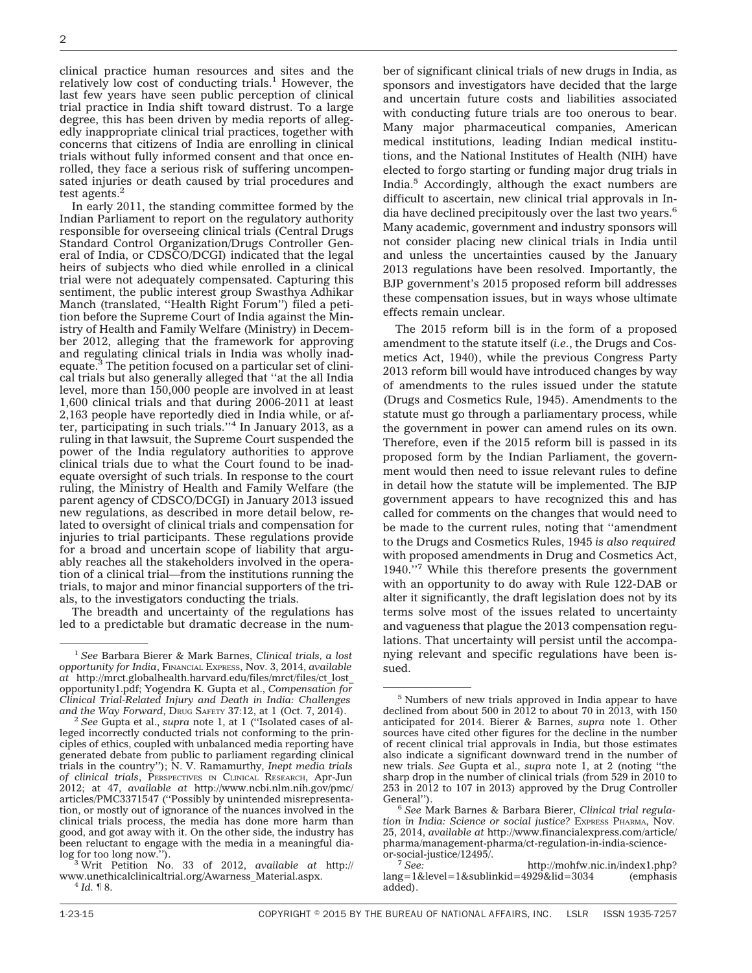clinical practice human resources and sites and the relatively low cost of conducting trials.<sup>1</sup> However, the last few years have seen public perception of clinical trial practice in India shift toward distrust. To a large degree, this has been driven by media reports of allegedly inappropriate clinical trial practices, together with concerns that citizens of India are enrolling in clinical trials without fully informed consent and that once enrolled, they face a serious risk of suffering uncompensated injuries or death caused by trial procedures and test agents.<sup>2</sup>

In early 2011, the standing committee formed by the Indian Parliament to report on the regulatory authority responsible for overseeing clinical trials (Central Drugs Standard Control Organization/Drugs Controller General of India, or CDSCO/DCGI) indicated that the legal heirs of subjects who died while enrolled in a clinical trial were not adequately compensated. Capturing this sentiment, the public interest group Swasthya Adhikar Manch (translated, ''Health Right Forum'') filed a petition before the Supreme Court of India against the Ministry of Health and Family Welfare (Ministry) in December 2012, alleging that the framework for approving and regulating clinical trials in India was wholly inadequate.3 The petition focused on a particular set of clinical trials but also generally alleged that ''at the all India level, more than 150,000 people are involved in at least 1,600 clinical trials and that during 2006-2011 at least 2,163 people have reportedly died in India while, or after, participating in such trials." $4 \text{ In January 2013, as a}$ ruling in that lawsuit, the Supreme Court suspended the power of the India regulatory authorities to approve clinical trials due to what the Court found to be inadequate oversight of such trials. In response to the court ruling, the Ministry of Health and Family Welfare (the parent agency of CDSCO/DCGI) in January 2013 issued new regulations, as described in more detail below, related to oversight of clinical trials and compensation for injuries to trial participants. These regulations provide for a broad and uncertain scope of liability that arguably reaches all the stakeholders involved in the operation of a clinical trial—from the institutions running the trials, to major and minor financial supporters of the trials, to the investigators conducting the trials.

The breadth and uncertainty of the regulations has led to a predictable but dramatic decrease in the number of significant clinical trials of new drugs in India, as sponsors and investigators have decided that the large and uncertain future costs and liabilities associated with conducting future trials are too onerous to bear. Many major pharmaceutical companies, American medical institutions, leading Indian medical institutions, and the National Institutes of Health (NIH) have elected to forgo starting or funding major drug trials in India.5 Accordingly, although the exact numbers are difficult to ascertain, new clinical trial approvals in India have declined precipitously over the last two years.<sup>6</sup> Many academic, government and industry sponsors will not consider placing new clinical trials in India until and unless the uncertainties caused by the January 2013 regulations have been resolved. Importantly, the BJP government's 2015 proposed reform bill addresses these compensation issues, but in ways whose ultimate effects remain unclear.

The 2015 reform bill is in the form of a proposed amendment to the statute itself (*i.e.*, the Drugs and Cosmetics Act, 1940), while the previous Congress Party 2013 reform bill would have introduced changes by way of amendments to the rules issued under the statute (Drugs and Cosmetics Rule, 1945). Amendments to the statute must go through a parliamentary process, while the government in power can amend rules on its own. Therefore, even if the 2015 reform bill is passed in its proposed form by the Indian Parliament, the government would then need to issue relevant rules to define in detail how the statute will be implemented. The BJP government appears to have recognized this and has called for comments on the changes that would need to be made to the current rules, noting that ''amendment to the Drugs and Cosmetics Rules, 1945 *is also required* with proposed amendments in Drug and Cosmetics Act, 1940.''7 While this therefore presents the government with an opportunity to do away with Rule 122-DAB or alter it significantly, the draft legislation does not by its terms solve most of the issues related to uncertainty and vagueness that plague the 2013 compensation regulations. That uncertainty will persist until the accompanying relevant and specific regulations have been issued.

<sup>1</sup> *See* Barbara Bierer & Mark Barnes, *Clinical trials, a lost opportunity for India*, FINANCIAL EXPRESS, Nov. 3, 2014, *available at* http://mrct.globalhealth.harvard.edu/files/mrct/files/ct\_lost\_ opportunity1.pdf; Yogendra K. Gupta et al., *Compensation for Clinical Trial-Related Injury and Death in India: Challenges*

<sup>&</sup>lt;sup>2</sup> See Gupta et al., *supra* note 1, at 1 ("Isolated cases of alleged incorrectly conducted trials not conforming to the principles of ethics, coupled with unbalanced media reporting have generated debate from public to parliament regarding clinical trials in the country''); N. V. Ramamurthy, *Inept media trials of clinical trials*, PERSPECTIVES IN CLINICAL RESEARCH, Apr-Jun 2012; at 47, *available at* http://www.ncbi.nlm.nih.gov/pmc/ articles/PMC3371547 (''Possibly by unintended misrepresentation, or mostly out of ignorance of the nuances involved in the clinical trials process, the media has done more harm than good, and got away with it. On the other side, the industry has been reluctant to engage with the media in a meaningful dia-

log for too long now.''). <sup>3</sup> Writ Petition No. 33 of 2012, *available at* http:// www.unethicalclinicaltrial.org/Awarness\_Material.aspx. <sup>4</sup> *Id.* ¶ 8.

<sup>5</sup> Numbers of new trials approved in India appear to have declined from about 500 in  $2012$  to about 70 in  $2013$ , with 150 anticipated for 2014. Bierer & Barnes, *supra* note 1. Other sources have cited other figures for the decline in the number of recent clinical trial approvals in India, but those estimates also indicate a significant downward trend in the number of new trials. *See* Gupta et al., *supra* note 1, at 2 (noting ''the sharp drop in the number of clinical trials (from 529 in 2010 to 253 in 2012 to 107 in 2013) approved by the Drug Controller

<sup>&</sup>lt;sup>6</sup> See Mark Barnes & Barbara Bierer, *Clinical trial regulation in India: Science or social justice?* EXPRESS PHARMA, Nov. 25, 2014, *available at* http://www.financialexpress.com/article/ pharma/management-pharma/ct-regulation-in-india-science-

or-social-justice/12495/. <sup>7</sup> *See:* http://mohfw.nic.in/index1.php? lang=1&level=1&sublinkid=4929&lid=3034 (emphasis added).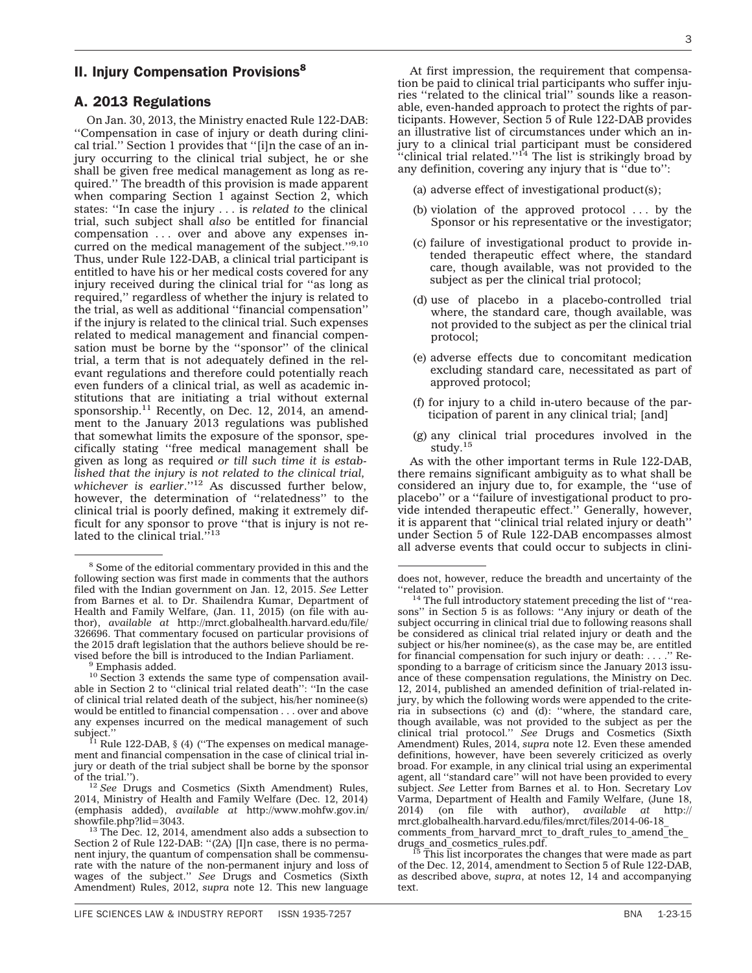## **II. Injury Compensation Provisions**8

## A. 2013 Regulations

On Jan. 30, 2013, the Ministry enacted Rule 122-DAB: ''Compensation in case of injury or death during clinical trial.'' Section 1 provides that ''[i]n the case of an injury occurring to the clinical trial subject, he or she shall be given free medical management as long as required.'' The breadth of this provision is made apparent when comparing Section 1 against Section 2, which states: ''In case the injury . . . is *related to* the clinical trial, such subject shall *also* be entitled for financial compensation . . . over and above any expenses incurred on the medical management of the subject."9,10 Thus, under Rule 122-DAB, a clinical trial participant is entitled to have his or her medical costs covered for any injury received during the clinical trial for ''as long as required,'' regardless of whether the injury is related to the trial, as well as additional ''financial compensation'' if the injury is related to the clinical trial. Such expenses related to medical management and financial compensation must be borne by the ''sponsor'' of the clinical trial, a term that is not adequately defined in the relevant regulations and therefore could potentially reach even funders of a clinical trial, as well as academic institutions that are initiating a trial without external sponsorship.<sup>11</sup> Recently, on Dec. 12, 2014, an amendment to the January 2013 regulations was published that somewhat limits the exposure of the sponsor, specifically stating ''free medical management shall be given as long as required *or till such time it is established that the injury is not related to the clinical trial, whichever is earlier*.''<sup>12</sup> As discussed further below, however, the determination of ''relatedness'' to the clinical trial is poorly defined, making it extremely difficult for any sponsor to prove ''that is injury is not related to the clinical trial. $i^{13}$ 

At first impression, the requirement that compensation be paid to clinical trial participants who suffer injuries ''related to the clinical trial'' sounds like a reasonable, even-handed approach to protect the rights of participants. However, Section 5 of Rule 122-DAB provides an illustrative list of circumstances under which an injury to a clinical trial participant must be considered ''clinical trial related.''14 The list is strikingly broad by any definition, covering any injury that is ''due to'':

- (a) adverse effect of investigational product(s);
- (b) violation of the approved protocol . . . by the Sponsor or his representative or the investigator;
- (c) failure of investigational product to provide intended therapeutic effect where, the standard care, though available, was not provided to the subject as per the clinical trial protocol;
- (d) use of placebo in a placebo-controlled trial where, the standard care, though available, was not provided to the subject as per the clinical trial protocol;
- (e) adverse effects due to concomitant medication excluding standard care, necessitated as part of approved protocol;
- (f) for injury to a child in-utero because of the participation of parent in any clinical trial; [and]
- (g) any clinical trial procedures involved in the study.<sup>15</sup>

As with the other important terms in Rule 122-DAB, there remains significant ambiguity as to what shall be considered an injury due to, for example, the ''use of placebo'' or a ''failure of investigational product to provide intended therapeutic effect." Generally, however, it is apparent that ''clinical trial related injury or death'' under Section 5 of Rule 122-DAB encompasses almost all adverse events that could occur to subjects in clini-

<sup>8</sup> Some of the editorial commentary provided in this and the following section was first made in comments that the authors filed with the Indian government on Jan. 12, 2015. *See* Letter from Barnes et al. to Dr. Shailendra Kumar, Department of Health and Family Welfare, (Jan. 11, 2015) (on file with author), *available at* http://mrct.globalhealth.harvard.edu/file/ 326696. That commentary focused on particular provisions of the 2015 draft legislation that the authors believe should be revised before the bill is introduced to the Indian Parliament. <sup>9</sup> Emphasis added.

<sup>&</sup>lt;sup>10</sup> Section 3 extends the same type of compensation available in Section 2 to ''clinical trial related death'': ''In the case of clinical trial related death of the subject, his/her nominee(s) would be entitled to financial compensation . . . over and above any expenses incurred on the medical management of such

subject.''<br><sup>11</sup> Rule 122-DAB, § (4) (''The expenses on medical management and financial compensation in the case of clinical trial injury or death of the trial subject shall be borne by the sponsor

<sup>&</sup>lt;sup>12</sup> See Drugs and Cosmetics (Sixth Amendment) Rules, 2014, Ministry of Health and Family Welfare (Dec. 12, 2014) (emphasis added), *available at* http://www.mohfw.gov.in/

showfile.php?lid=3043.<br><sup>13</sup> The Dec. 12, 2014, amendment also adds a subsection to Section 2 of Rule 122-DAB: "(2A) [I]n case, there is no permanent injury, the quantum of compensation shall be commensurate with the nature of the non-permanent injury and loss of wages of the subject.'' *See* Drugs and Cosmetics (Sixth Amendment) Rules, 2012, *supra* note 12. This new language

does not, however, reduce the breadth and uncertainty of the

<sup>&</sup>quot; $r$ elated to" provision.<br> $14$  The full introductory statement preceding the list of "reasons'' in Section 5 is as follows: ''Any injury or death of the subject occurring in clinical trial due to following reasons shall be considered as clinical trial related injury or death and the subject or his/her nominee(s), as the case may be, are entitled for financial compensation for such injury or death: . . . .'' Responding to a barrage of criticism since the January 2013 issuance of these compensation regulations, the Ministry on Dec. 12, 2014, published an amended definition of trial-related injury, by which the following words were appended to the criteria in subsections (c) and (d): ''where, the standard care, though available, was not provided to the subject as per the clinical trial protocol.'' *See* Drugs and Cosmetics (Sixth Amendment) Rules, 2014, *supra* note 12. Even these amended definitions, however, have been severely criticized as overly broad. For example, in any clinical trial using an experimental agent, all ''standard care'' will not have been provided to every subject. *See* Letter from Barnes et al. to Hon. Secretary Lov Varma, Department of Health and Family Welfare, (June 18, 2014) (on tile with author) *qualitable at* http:// 2014) (on file with author), *available at* http:// mrct.globalhealth.harvard.edu/files/mrct/files/2014-06-18\_ comments\_from\_harvard\_mrct\_to\_draft\_rules\_to\_amend\_the\_<br>drugs\_and\_cosmetics\_rules.pdf.

drugs and cosmitting rules. of the Dec. 12, 2014, amendment to Section 5 of Rule 122-DAB, as described above, *supra*, at notes 12, 14 and accompanying text.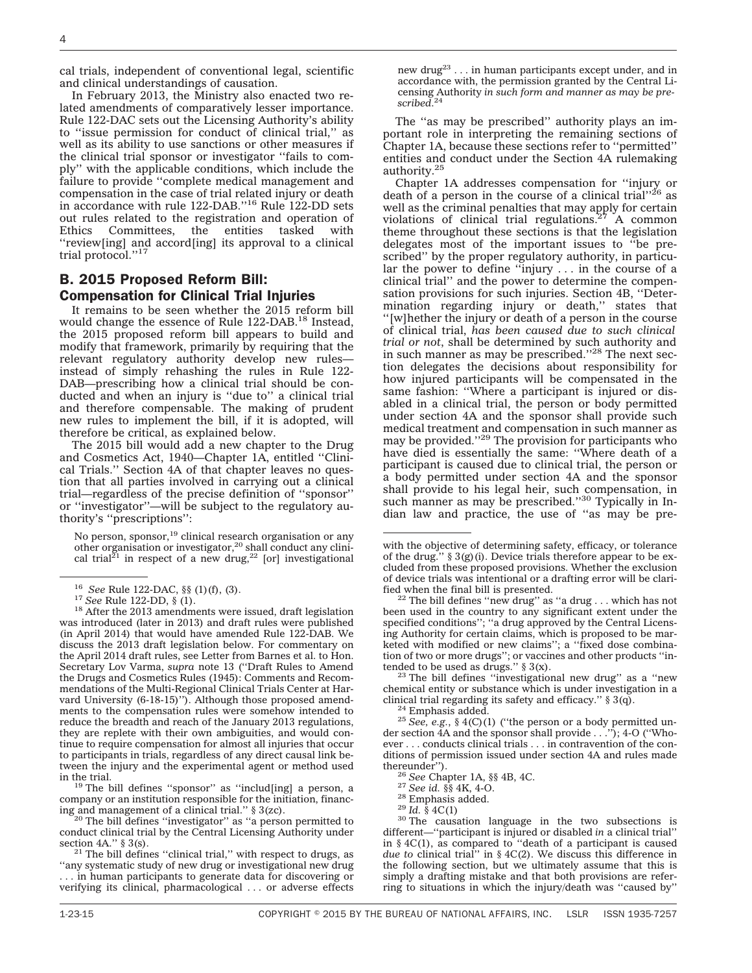cal trials, independent of conventional legal, scientific and clinical understandings of causation.

In February 2013, the Ministry also enacted two related amendments of comparatively lesser importance. Rule 122-DAC sets out the Licensing Authority's ability to ''issue permission for conduct of clinical trial,'' as well as its ability to use sanctions or other measures if the clinical trial sponsor or investigator ''fails to comply'' with the applicable conditions, which include the failure to provide ''complete medical management and compensation in the case of trial related injury or death in accordance with rule 122-DAB."<sup>16</sup> Rule 122-DD sets out rules related to the registration and operation of<br>Ethics Committees, the entities tasked with Ethics Committees, the entities tasked with ''review[ing] and accord[ing] its approval to a clinical trial protocol.''17

## B. 2015 Proposed Reform Bill: Compensation for Clinical Trial Injuries

It remains to be seen whether the 2015 reform bill would change the essence of Rule 122-DAB.18 Instead, the 2015 proposed reform bill appears to build and modify that framework, primarily by requiring that the relevant regulatory authority develop new rules instead of simply rehashing the rules in Rule 122- DAB—prescribing how a clinical trial should be conducted and when an injury is ''due to'' a clinical trial and therefore compensable. The making of prudent new rules to implement the bill, if it is adopted, will therefore be critical, as explained below.

The 2015 bill would add a new chapter to the Drug and Cosmetics Act, 1940—Chapter 1A, entitled ''Clinical Trials.'' Section 4A of that chapter leaves no question that all parties involved in carrying out a clinical trial—regardless of the precise definition of ''sponsor'' or ''investigator''—will be subject to the regulatory authority's ''prescriptions'':

No person, sponsor,<sup>19</sup> clinical research organisation or any other organisation or investigator,<sup>20</sup> shall conduct any clinical trial<sup>21</sup> in respect of a new drug,<sup>22</sup> [or] investigational

 $19$  The bill defines "sponsor" as "includ[ing] a person, a company or an institution responsible for the initiation, financing and management of a clinical trial." § 3(zc).<br><sup>20</sup> The bill defines "investigator" as "a person permitted to

conduct clinical trial by the Central Licensing Authority under section  $4A$ ." § 3(s).

 $21$  The bill defines "clinical trial," with respect to drugs, as ''any systematic study of new drug or investigational new drug . . . in human participants to generate data for discovering or verifying its clinical, pharmacological . . . or adverse effects new drug<sup>23</sup> . . . in human participants except under, and in accordance with, the permission granted by the Central Licensing Authority *in such form and manner as may be prescribed*. 24

The ''as may be prescribed'' authority plays an important role in interpreting the remaining sections of Chapter 1A, because these sections refer to ''permitted'' entities and conduct under the Section 4A rulemaking authority.25

Chapter 1A addresses compensation for ''injury or death of a person in the course of a clinical trial''26 as well as the criminal penalties that may apply for certain violations of clinical trial regulations.<sup>27</sup> A common theme throughout these sections is that the legislation delegates most of the important issues to ''be prescribed'' by the proper regulatory authority, in particular the power to define "injury  $\dots$  in the course of a clinical trial'' and the power to determine the compensation provisions for such injuries. Section 4B, ''Determination regarding injury or death,'' states that ''[w]hether the injury or death of a person in the course of clinical trial, *has been caused due to such clinical trial or not*, shall be determined by such authority and in such manner as may be prescribed."<sup>28</sup> The next section delegates the decisions about responsibility for how injured participants will be compensated in the same fashion: ''Where a participant is injured or disabled in a clinical trial, the person or body permitted under section 4A and the sponsor shall provide such medical treatment and compensation in such manner as may be provided.''29 The provision for participants who have died is essentially the same: ''Where death of a participant is caused due to clinical trial, the person or a body permitted under section 4A and the sponsor shall provide to his legal heir, such compensation, in such manner as may be prescribed.''<sup>30</sup> Typically in Indian law and practice, the use of ''as may be pre-

 $23$  The bill defines "investigational new drug" as a "new chemical entity or substance which is under investigation in a clinical trial regarding its safety and efficacy."  $\S 3(q)$ .

<sup>26</sup> *See* Chapter 1A, §§ 4B, 4C. <sup>27</sup> *See* id. §§ 4K, 4-O. <sup>28</sup> Emphasis added. <sup>29</sup> *Id.* § 4C(1) <sup>30</sup> The causation language in the two subsections is different—''participant is injured or disabled *in* a clinical trial'' in § 4C(1), as compared to ''death of a participant is caused *due to* clinical trial'' in § 4C(2). We discuss this difference in the following section, but we ultimately assume that this is simply a drafting mistake and that both provisions are referring to situations in which the injury/death was ''caused by''

<sup>&</sup>lt;sup>16</sup> *See* Rule 122-DAC, §§ (1)(f), (3). <sup>17</sup> *See* Rule 122-DD, § (1). <sup>18</sup> After the 2013 amendments were issued, draft legislation was introduced (later in 2013) and draft rules were published (in April 2014) that would have amended Rule 122-DAB. We discuss the 2013 draft legislation below. For commentary on the April 2014 draft rules, see Letter from Barnes et al. to Hon. Secretary Lov Varma, *supra* note 13 (''Draft Rules to Amend the Drugs and Cosmetics Rules (1945): Comments and Recommendations of the Multi-Regional Clinical Trials Center at Harvard University (6-18-15)''). Although those proposed amendments to the compensation rules were somehow intended to reduce the breadth and reach of the January 2013 regulations, they are replete with their own ambiguities, and would continue to require compensation for almost all injuries that occur to participants in trials, regardless of any direct causal link between the injury and the experimental agent or method used

with the objective of determining safety, efficacy, or tolerance of the drug."  $\S 3(g)(i)$ . Device trials therefore appear to be excluded from these proposed provisions. Whether the exclusion of device trials was intentional or a drafting error will be clari-

 $22$  The bill defines "new drug" as "a drug . . . which has not been used in the country to any significant extent under the specified conditions''; ''a drug approved by the Central Licensing Authority for certain claims, which is proposed to be marketed with modified or new claims''; a ''fixed dose combination of two or more drugs''; or vaccines and other products "intended to be used as drugs."  $\S 3(x)$ .

<sup>&</sup>lt;sup>24</sup> Emphasis added.<br><sup>25</sup> *See, e.g.*, § 4(C)(1) ("the person or a body permitted under section 4A and the sponsor shall provide . . .''); 4-O (''Whoever . . . conducts clinical trials . . . in contravention of the conditions of permission issued under section 4A and rules made thereunder").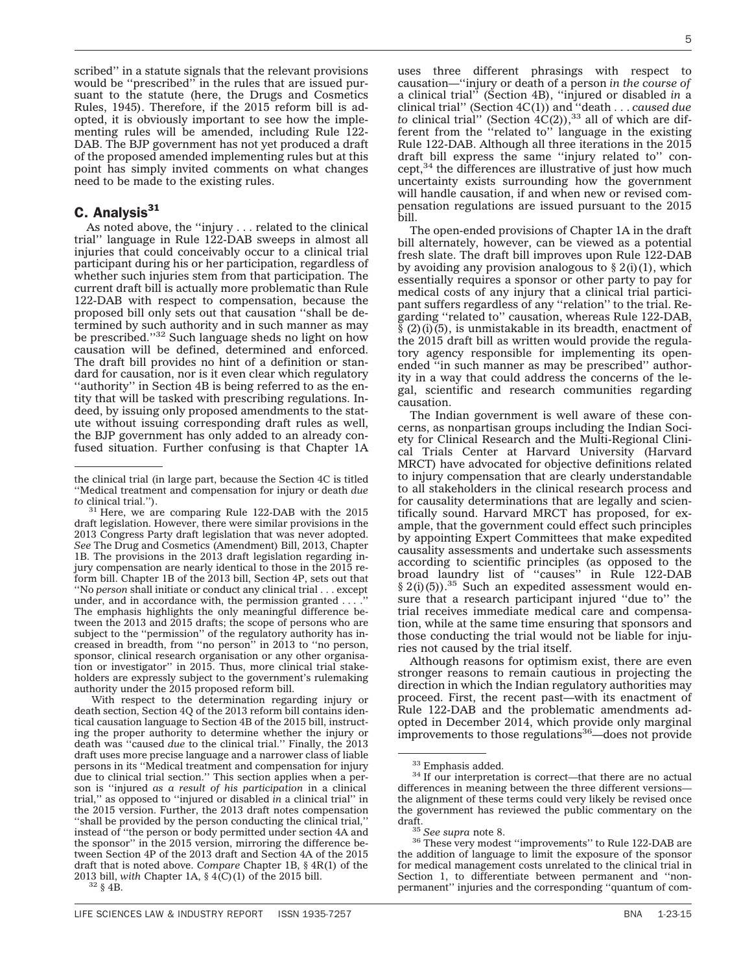scribed'' in a statute signals that the relevant provisions would be ''prescribed'' in the rules that are issued pursuant to the statute (here, the Drugs and Cosmetics Rules, 1945). Therefore, if the 2015 reform bill is adopted, it is obviously important to see how the implementing rules will be amended, including Rule 122- DAB. The BJP government has not yet produced a draft of the proposed amended implementing rules but at this point has simply invited comments on what changes need to be made to the existing rules.

## C. Analysis<sup>31</sup>

As noted above, the ''injury . . . related to the clinical trial'' language in Rule 122-DAB sweeps in almost all injuries that could conceivably occur to a clinical trial participant during his or her participation, regardless of whether such injuries stem from that participation. The current draft bill is actually more problematic than Rule 122-DAB with respect to compensation, because the proposed bill only sets out that causation ''shall be determined by such authority and in such manner as may be prescribed."<sup>32</sup> Such language sheds no light on how causation will be defined, determined and enforced. The draft bill provides no hint of a definition or standard for causation, nor is it even clear which regulatory ''authority'' in Section 4B is being referred to as the entity that will be tasked with prescribing regulations. Indeed, by issuing only proposed amendments to the statute without issuing corresponding draft rules as well, the BJP government has only added to an already confused situation. Further confusing is that Chapter 1A

With respect to the determination regarding injury or death section, Section 4Q of the 2013 reform bill contains identical causation language to Section 4B of the 2015 bill, instructing the proper authority to determine whether the injury or death was ''caused *due* to the clinical trial.'' Finally, the 2013 draft uses more precise language and a narrower class of liable persons in its ''Medical treatment and compensation for injury due to clinical trial section.'' This section applies when a person is ''injured *as a result of his participation* in a clinical trial,'' as opposed to ''injured or disabled *in* a clinical trial'' in the 2015 version. Further, the 2013 draft notes compensation ''shall be provided by the person conducting the clinical trial,'' instead of ''the person or body permitted under section 4A and the sponsor'' in the 2015 version, mirroring the difference between Section 4P of the 2013 draft and Section 4A of the 2015 draft that is noted above. *Compare* Chapter 1B, § 4R(1) of the 2013 bill, *with* Chapter 1A, § 4(C)(1) of the 2015 bill. <sup>32</sup> § 4B.

uses three different phrasings with respect to causation—''injury or death of a person *in the course of* a clinical trial'' (Section 4B), ''injured or disabled *in* a clinical trial'' (Section 4C(1)) and ''death . . . *caused due to* clinical trial" (Section  $4C(2)$ ),<sup>33</sup> all of which are different from the ''related to'' language in the existing Rule 122-DAB. Although all three iterations in the 2015 draft bill express the same ''injury related to'' concept,<sup>34</sup> the differences are illustrative of just how much uncertainty exists surrounding how the government will handle causation, if and when new or revised compensation regulations are issued pursuant to the 2015 bill.

The open-ended provisions of Chapter 1A in the draft bill alternately, however, can be viewed as a potential fresh slate. The draft bill improves upon Rule 122-DAB by avoiding any provision analogous to  $\S 2(i)(1)$ , which essentially requires a sponsor or other party to pay for medical costs of any injury that a clinical trial participant suffers regardless of any ''relation'' to the trial. Regarding ''related to'' causation, whereas Rule 122-DAB,  $\bar{\S}$  (2)(i)(5), is unmistakable in its breadth, enactment of the 2015 draft bill as written would provide the regulatory agency responsible for implementing its openended ''in such manner as may be prescribed'' authority in a way that could address the concerns of the legal, scientific and research communities regarding causation.

The Indian government is well aware of these concerns, as nonpartisan groups including the Indian Society for Clinical Research and the Multi-Regional Clinical Trials Center at Harvard University (Harvard MRCT) have advocated for objective definitions related to injury compensation that are clearly understandable to all stakeholders in the clinical research process and for causality determinations that are legally and scientifically sound. Harvard MRCT has proposed, for example, that the government could effect such principles by appointing Expert Committees that make expedited causality assessments and undertake such assessments according to scientific principles (as opposed to the broad laundry list of ''causes'' in Rule 122-DAB  $§$  2(i)(5)).<sup>35</sup> Such an expedited assessment would ensure that a research participant injured ''due to'' the trial receives immediate medical care and compensation, while at the same time ensuring that sponsors and those conducting the trial would not be liable for injuries not caused by the trial itself.

Although reasons for optimism exist, there are even stronger reasons to remain cautious in projecting the direction in which the Indian regulatory authorities may proceed. First, the recent past—with its enactment of Rule 122-DAB and the problematic amendments adopted in December 2014, which provide only marginal improvements to those regulations $36$ —does not provide

the clinical trial (in large part, because the Section 4C is titled ''Medical treatment and compensation for injury or death *due to* clinical trial.'').

<sup>&</sup>lt;sup>31</sup> Here, we are comparing Rule 122-DAB with the 2015 draft legislation. However, there were similar provisions in the 2013 Congress Party draft legislation that was never adopted. *See* The Drug and Cosmetics (Amendment) Bill, 2013, Chapter 1B. The provisions in the 2013 draft legislation regarding injury compensation are nearly identical to those in the 2015 reform bill. Chapter 1B of the 2013 bill, Section 4P, sets out that ''No *person* shall initiate or conduct any clinical trial . . . except under, and in accordance with, the permission granted ... The emphasis highlights the only meaningful difference between the 2013 and 2015 drafts; the scope of persons who are subject to the ''permission'' of the regulatory authority has increased in breadth, from ''no person'' in 2013 to ''no person, sponsor, clinical research organisation or any other organisation or investigator'' in 2015. Thus, more clinical trial stakeholders are expressly subject to the government's rulemaking authority under the 2015 proposed reform bill.

 $33$  Emphasis added.<br> $34$  If our interpretation is correct—that there are no actual differences in meaning between the three different versions the alignment of these terms could very likely be revised once the government has reviewed the public commentary on the

draft. <sup>35</sup> *See supra* note 8. <sup>36</sup> These very modest ''improvements'' to Rule 122-DAB are the addition of language to limit the exposure of the sponsor for medical management costs unrelated to the clinical trial in Section 1, to differentiate between permanent and ''nonpermanent'' injuries and the corresponding ''quantum of com-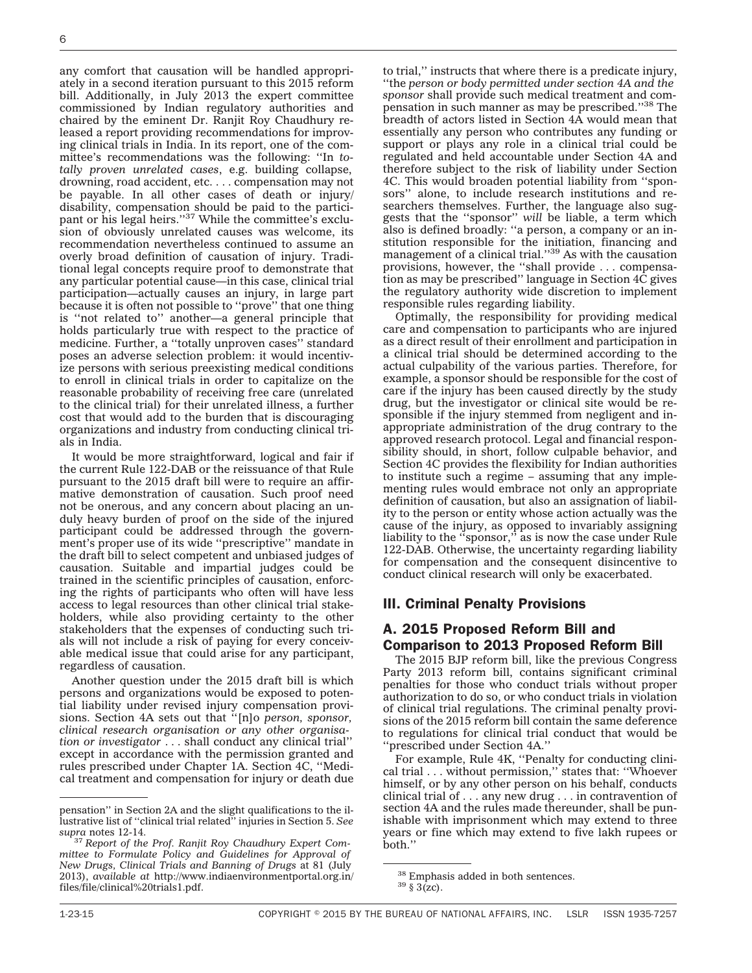any comfort that causation will be handled appropriately in a second iteration pursuant to this 2015 reform bill. Additionally, in July 2013 the expert committee commissioned by Indian regulatory authorities and chaired by the eminent Dr. Ranjit Roy Chaudhury released a report providing recommendations for improving clinical trials in India. In its report, one of the committee's recommendations was the following: ''In *totally proven unrelated cases*, e.g. building collapse, drowning, road accident, etc. . . . compensation may not be payable. In all other cases of death or injury/ disability, compensation should be paid to the participant or his legal heirs."<sup>37</sup> While the committee's exclusion of obviously unrelated causes was welcome, its recommendation nevertheless continued to assume an overly broad definition of causation of injury. Traditional legal concepts require proof to demonstrate that any particular potential cause—in this case, clinical trial participation—actually causes an injury, in large part because it is often not possible to ''prove'' that one thing is ''not related to'' another—a general principle that holds particularly true with respect to the practice of medicine. Further, a ''totally unproven cases'' standard poses an adverse selection problem: it would incentivize persons with serious preexisting medical conditions to enroll in clinical trials in order to capitalize on the reasonable probability of receiving free care (unrelated to the clinical trial) for their unrelated illness, a further cost that would add to the burden that is discouraging organizations and industry from conducting clinical trials in India.

It would be more straightforward, logical and fair if the current Rule 122-DAB or the reissuance of that Rule pursuant to the 2015 draft bill were to require an affirmative demonstration of causation. Such proof need not be onerous, and any concern about placing an unduly heavy burden of proof on the side of the injured participant could be addressed through the government's proper use of its wide ''prescriptive'' mandate in the draft bill to select competent and unbiased judges of causation. Suitable and impartial judges could be trained in the scientific principles of causation, enforcing the rights of participants who often will have less access to legal resources than other clinical trial stakeholders, while also providing certainty to the other stakeholders that the expenses of conducting such trials will not include a risk of paying for every conceivable medical issue that could arise for any participant, regardless of causation.

Another question under the 2015 draft bill is which persons and organizations would be exposed to potential liability under revised injury compensation provisions. Section 4A sets out that ''[n]o *person, sponsor, clinical research organisation or any other organisation or investigator* . . . shall conduct any clinical trial'' except in accordance with the permission granted and rules prescribed under Chapter 1A. Section 4C, ''Medical treatment and compensation for injury or death due to trial,'' instructs that where there is a predicate injury,

''the *person or body permitted under section 4A and the sponsor* shall provide such medical treatment and compensation in such manner as may be prescribed.''38 The breadth of actors listed in Section 4A would mean that essentially any person who contributes any funding or support or plays any role in a clinical trial could be regulated and held accountable under Section 4A and therefore subject to the risk of liability under Section 4C. This would broaden potential liability from ''sponsors'' alone, to include research institutions and researchers themselves. Further, the language also suggests that the ''sponsor'' *will* be liable, a term which also is defined broadly: ''a person, a company or an institution responsible for the initiation, financing and management of a clinical trial."<sup>39</sup> As with the causation provisions, however, the ''shall provide . . . compensation as may be prescribed'' language in Section 4C gives the regulatory authority wide discretion to implement responsible rules regarding liability.

Optimally, the responsibility for providing medical care and compensation to participants who are injured as a direct result of their enrollment and participation in a clinical trial should be determined according to the actual culpability of the various parties. Therefore, for example, a sponsor should be responsible for the cost of care if the injury has been caused directly by the study drug, but the investigator or clinical site would be responsible if the injury stemmed from negligent and inappropriate administration of the drug contrary to the approved research protocol. Legal and financial responsibility should, in short, follow culpable behavior, and Section 4C provides the flexibility for Indian authorities to institute such a regime – assuming that any implementing rules would embrace not only an appropriate definition of causation, but also an assignation of liability to the person or entity whose action actually was the cause of the injury, as opposed to invariably assigning liability to the ''sponsor,'' as is now the case under Rule 122-DAB. Otherwise, the uncertainty regarding liability for compensation and the consequent disincentive to conduct clinical research will only be exacerbated.

### III. Criminal Penalty Provisions

## A. 2015 Proposed Reform Bill and Comparison to 2013 Proposed Reform Bill

The 2015 BJP reform bill, like the previous Congress Party 2013 reform bill, contains significant criminal penalties for those who conduct trials without proper authorization to do so, or who conduct trials in violation of clinical trial regulations. The criminal penalty provisions of the 2015 reform bill contain the same deference to regulations for clinical trial conduct that would be ''prescribed under Section 4A.''

For example, Rule 4K, ''Penalty for conducting clinical trial . . . without permission,'' states that: ''Whoever himself, or by any other person on his behalf, conducts clinical trial of . . . any new drug . . . in contravention of section 4A and the rules made thereunder, shall be punishable with imprisonment which may extend to three years or fine which may extend to five lakh rupees or both.''

pensation'' in Section 2A and the slight qualifications to the illustrative list of ''clinical trial related'' injuries in Section 5. *See*

<sup>&</sup>lt;sup>37</sup> Report of the Prof. Ranjit Roy Chaudhury Expert Com*mittee to Formulate Policy and Guidelines for Approval of New Drugs, Clinical Trials and Banning of Drugs* at 81 (July 2013), *available at* http://www.indiaenvironmentportal.org.in/ files/file/clinical%20trials1.pdf.

 $^{38}$  Emphasis added in both sentences.  $^{39}$  § 3(zc).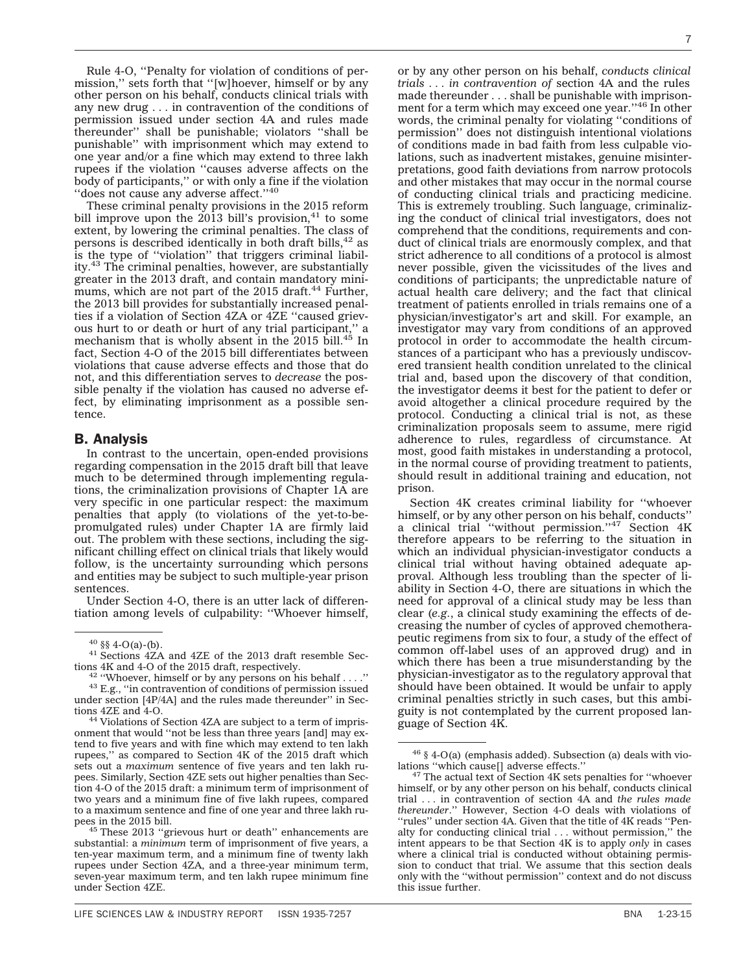Rule 4-O, ''Penalty for violation of conditions of permission," sets forth that "[w]hoever, himself or by any other person on his behalf, conducts clinical trials with any new drug . . . in contravention of the conditions of permission issued under section 4A and rules made thereunder'' shall be punishable; violators ''shall be punishable'' with imprisonment which may extend to one year and/or a fine which may extend to three lakh rupees if the violation ''causes adverse affects on the body of participants,'' or with only a fine if the violation "does not cause any adverse affect."40

These criminal penalty provisions in the 2015 reform bill improve upon the  $2013$  bill's provision,<sup>41</sup> to some extent, by lowering the criminal penalties. The class of persons is described identically in both draft bills,  $42$  as is the type of ''violation'' that triggers criminal liability.<sup>43</sup> The criminal penalties, however, are substantially greater in the 2013 draft, and contain mandatory minimums, which are not part of the  $2015$  draft.<sup>44</sup> Further, the 2013 bill provides for substantially increased penalties if a violation of Section 4ZA or 4ZE ''caused grievous hurt to or death or hurt of any trial participant,'' a mechanism that is wholly absent in the 2015 bill.<sup>45</sup> In fact, Section 4-O of the 2015 bill differentiates between violations that cause adverse effects and those that do not, and this differentiation serves to *decrease* the possible penalty if the violation has caused no adverse effect, by eliminating imprisonment as a possible sentence.

#### B. Analysis

In contrast to the uncertain, open-ended provisions regarding compensation in the 2015 draft bill that leave much to be determined through implementing regulations, the criminalization provisions of Chapter 1A are very specific in one particular respect: the maximum penalties that apply (to violations of the yet-to-bepromulgated rules) under Chapter 1A are firmly laid out. The problem with these sections, including the significant chilling effect on clinical trials that likely would follow, is the uncertainty surrounding which persons and entities may be subject to such multiple-year prison sentences.

Under Section 4-O, there is an utter lack of differentiation among levels of culpability: ''Whoever himself,

or by any other person on his behalf, *conducts clinical trials . . . in contravention of* section 4A and the rules made thereunder . . . shall be punishable with imprisonment for a term which may exceed one year.''46 In other words, the criminal penalty for violating ''conditions of permission'' does not distinguish intentional violations of conditions made in bad faith from less culpable violations, such as inadvertent mistakes, genuine misinterpretations, good faith deviations from narrow protocols and other mistakes that may occur in the normal course of conducting clinical trials and practicing medicine. This is extremely troubling. Such language, criminalizing the conduct of clinical trial investigators, does not comprehend that the conditions, requirements and conduct of clinical trials are enormously complex, and that strict adherence to all conditions of a protocol is almost never possible, given the vicissitudes of the lives and conditions of participants; the unpredictable nature of actual health care delivery; and the fact that clinical treatment of patients enrolled in trials remains one of a physician/investigator's art and skill. For example, an investigator may vary from conditions of an approved protocol in order to accommodate the health circumstances of a participant who has a previously undiscovered transient health condition unrelated to the clinical trial and, based upon the discovery of that condition, the investigator deems it best for the patient to defer or avoid altogether a clinical procedure required by the protocol. Conducting a clinical trial is not, as these criminalization proposals seem to assume, mere rigid adherence to rules, regardless of circumstance. At most, good faith mistakes in understanding a protocol, in the normal course of providing treatment to patients, should result in additional training and education, not prison.

Section 4K creates criminal liability for ''whoever himself, or by any other person on his behalf, conducts" a clinical trial "without permission."<sup>47</sup> Section 4K therefore appears to be referring to the situation in which an individual physician-investigator conducts a clinical trial without having obtained adequate approval. Although less troubling than the specter of liability in Section 4-O, there are situations in which the need for approval of a clinical study may be less than clear (*e.g.*, a clinical study examining the effects of decreasing the number of cycles of approved chemotherapeutic regimens from six to four, a study of the effect of common off-label uses of an approved drug) and in which there has been a true misunderstanding by the physician-investigator as to the regulatory approval that should have been obtained. It would be unfair to apply criminal penalties strictly in such cases, but this ambiguity is not contemplated by the current proposed language of Section 4K.

<sup>&</sup>lt;sup>40</sup> §§ 4-O(a)-(b).<br><sup>41</sup> Sections 4ZA and 4ZE of the 2013 draft resemble Sec-

tions 4K and 4-O of the 2015 draft, respectively.<br><sup>42</sup> "Whoever, himself or by any persons on his behalf . . . ."<br><sup>43</sup> E.g., "in contravention of conditions of permission issued under section [4P/4A] and the rules made thereunder'' in Sections 4ZE and 4-O.

<sup>&</sup>lt;sup>44</sup> Violations of Section 4ZA are subject to a term of imprisonment that would ''not be less than three years [and] may extend to five years and with fine which may extend to ten lakh rupees,'' as compared to Section 4K of the 2015 draft which sets out a *maximum* sentence of five years and ten lakh rupees. Similarly, Section 4ZE sets out higher penalties than Section 4-O of the 2015 draft: a minimum term of imprisonment of two years and a minimum fine of five lakh rupees, compared to a maximum sentence and fine of one year and three lakh ru-

 $45$  These 2013 "grievous hurt or death" enhancements are substantial: a *minimum* term of imprisonment of five years, a ten-year maximum term, and a minimum fine of twenty lakh rupees under Section 4ZA, and a three-year minimum term, seven-year maximum term, and ten lakh rupee minimum fine under Section 4ZE.

<sup>&</sup>lt;sup>46</sup> § 4-O(a) (emphasis added). Subsection (a) deals with violations "which cause[] adverse effects."

 $47$  The actual text of Section 4K sets penalties for "whoever himself, or by any other person on his behalf, conducts clinical trial . . . in contravention of section 4A and *the rules made thereunder*.'' However, Section 4-O deals with violations of ''rules'' under section 4A. Given that the title of 4K reads ''Penalty for conducting clinical trial . . . without permission,'' the intent appears to be that Section 4K is to apply *only* in cases where a clinical trial is conducted without obtaining permission to conduct that trial. We assume that this section deals only with the ''without permission'' context and do not discuss this issue further.